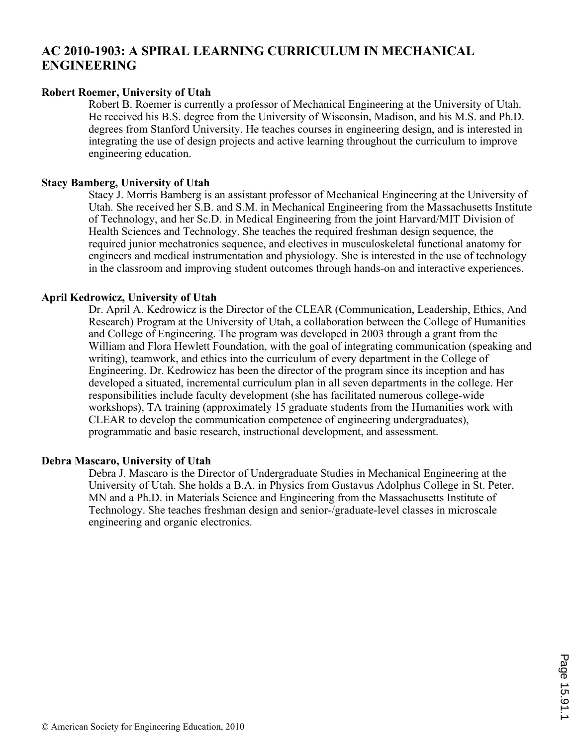# **AC 2010-1903: A SPIRAL LEARNING CURRICULUM IN MECHANICAL ENGINEERING**

### **Robert Roemer, University of Utah**

Robert B. Roemer is currently a professor of Mechanical Engineering at the University of Utah. He received his B.S. degree from the University of Wisconsin, Madison, and his M.S. and Ph.D. degrees from Stanford University. He teaches courses in engineering design, and is interested in integrating the use of design projects and active learning throughout the curriculum to improve engineering education.

#### **Stacy Bamberg, University of Utah**

Stacy J. Morris Bamberg is an assistant professor of Mechanical Engineering at the University of Utah. She received her S.B. and S.M. in Mechanical Engineering from the Massachusetts Institute of Technology, and her Sc.D. in Medical Engineering from the joint Harvard/MIT Division of Health Sciences and Technology. She teaches the required freshman design sequence, the required junior mechatronics sequence, and electives in musculoskeletal functional anatomy for engineers and medical instrumentation and physiology. She is interested in the use of technology in the classroom and improving student outcomes through hands-on and interactive experiences.

#### **April Kedrowicz, University of Utah**

Dr. April A. Kedrowicz is the Director of the CLEAR (Communication, Leadership, Ethics, And Research) Program at the University of Utah, a collaboration between the College of Humanities and College of Engineering. The program was developed in 2003 through a grant from the William and Flora Hewlett Foundation, with the goal of integrating communication (speaking and writing), teamwork, and ethics into the curriculum of every department in the College of Engineering. Dr. Kedrowicz has been the director of the program since its inception and has developed a situated, incremental curriculum plan in all seven departments in the college. Her responsibilities include faculty development (she has facilitated numerous college-wide workshops), TA training (approximately 15 graduate students from the Humanities work with CLEAR to develop the communication competence of engineering undergraduates), programmatic and basic research, instructional development, and assessment.

#### **Debra Mascaro, University of Utah**

Debra J. Mascaro is the Director of Undergraduate Studies in Mechanical Engineering at the University of Utah. She holds a B.A. in Physics from Gustavus Adolphus College in St. Peter, MN and a Ph.D. in Materials Science and Engineering from the Massachusetts Institute of Technology. She teaches freshman design and senior-/graduate-level classes in microscale engineering and organic electronics.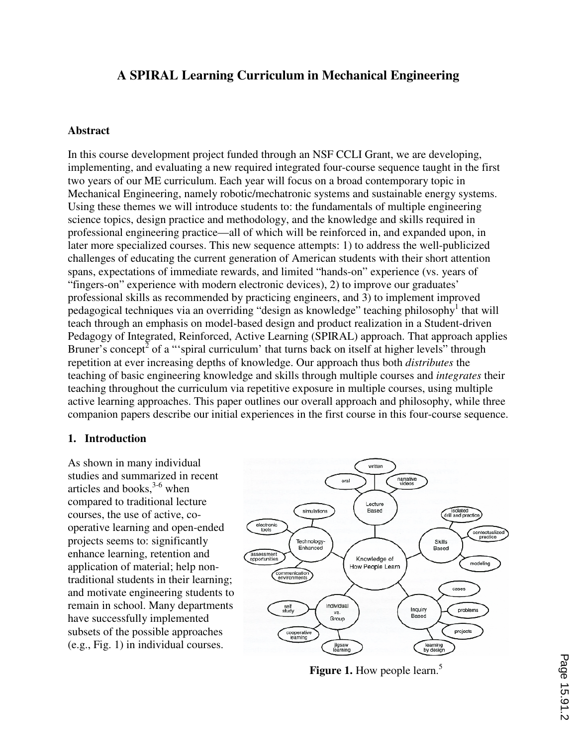# **A SPIRAL Learning Curriculum in Mechanical Engineering**

#### **Abstract**

In this course development project funded through an NSF CCLI Grant, we are developing, implementing, and evaluating a new required integrated four-course sequence taught in the first two years of our ME curriculum. Each year will focus on a broad contemporary topic in Mechanical Engineering, namely robotic/mechatronic systems and sustainable energy systems. Using these themes we will introduce students to: the fundamentals of multiple engineering science topics, design practice and methodology, and the knowledge and skills required in professional engineering practice—all of which will be reinforced in, and expanded upon, in later more specialized courses. This new sequence attempts: 1) to address the well-publicized challenges of educating the current generation of American students with their short attention spans, expectations of immediate rewards, and limited "hands-on" experience (vs. years of "fingers-on" experience with modern electronic devices), 2) to improve our graduates' professional skills as recommended by practicing engineers, and 3) to implement improved pedagogical techniques via an overriding "design as knowledge" teaching philosophy<sup>1</sup> that will teach through an emphasis on model-based design and product realization in a Student-driven Pedagogy of Integrated, Reinforced, Active Learning (SPIRAL) approach. That approach applies Bruner's concept<sup>2</sup> of a "spiral curriculum' that turns back on itself at higher levels" through repetition at ever increasing depths of knowledge. Our approach thus both *distributes* the teaching of basic engineering knowledge and skills through multiple courses and *integrates* their teaching throughout the curriculum via repetitive exposure in multiple courses, using multiple active learning approaches. This paper outlines our overall approach and philosophy, while three companion papers describe our initial experiences in the first course in this four-course sequence.

#### **1. Introduction**

As shown in many individual studies and summarized in recent articles and books,  $3-6$  when compared to traditional lecture courses, the use of active, cooperative learning and open-ended projects seems to: significantly enhance learning, retention and application of material; help nontraditional students in their learning; and motivate engineering students to remain in school. Many departments have successfully implemented subsets of the possible approaches (e.g., Fig. 1) in individual courses.



**Figure 1.** How people learn.<sup>5</sup>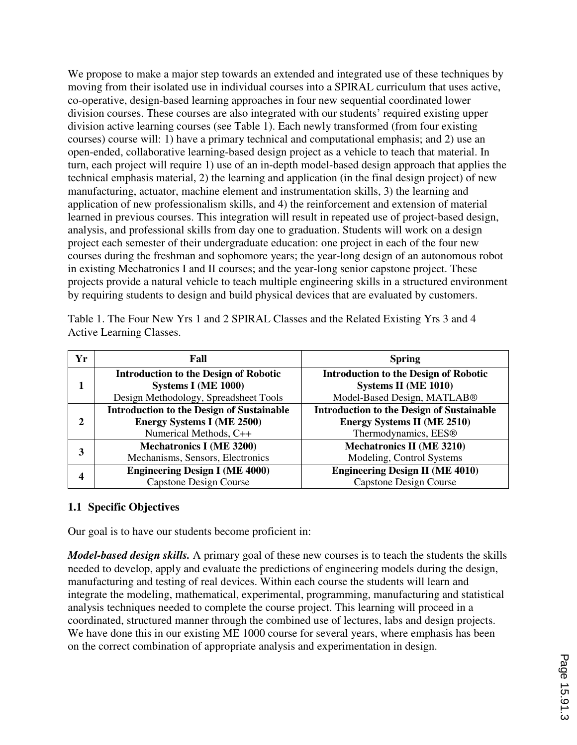We propose to make a major step towards an extended and integrated use of these techniques by moving from their isolated use in individual courses into a SPIRAL curriculum that uses active, co-operative, design-based learning approaches in four new sequential coordinated lower division courses. These courses are also integrated with our students' required existing upper division active learning courses (see Table 1). Each newly transformed (from four existing courses) course will: 1) have a primary technical and computational emphasis; and 2) use an open-ended, collaborative learning-based design project as a vehicle to teach that material. In turn, each project will require 1) use of an in-depth model-based design approach that applies the technical emphasis material, 2) the learning and application (in the final design project) of new manufacturing, actuator, machine element and instrumentation skills, 3) the learning and application of new professionalism skills, and 4) the reinforcement and extension of material learned in previous courses. This integration will result in repeated use of project-based design, analysis, and professional skills from day one to graduation. Students will work on a design project each semester of their undergraduate education: one project in each of the four new courses during the freshman and sophomore years; the year-long design of an autonomous robot in existing Mechatronics I and II courses; and the year-long senior capstone project. These projects provide a natural vehicle to teach multiple engineering skills in a structured environment by requiring students to design and build physical devices that are evaluated by customers.

Table 1. The Four New Yrs 1 and 2 SPIRAL Classes and the Related Existing Yrs 3 and 4 Active Learning Classes.

| Yr | Fall                                                                                                            | <b>Spring</b>                                                                                                              |
|----|-----------------------------------------------------------------------------------------------------------------|----------------------------------------------------------------------------------------------------------------------------|
|    | <b>Introduction to the Design of Robotic</b><br>Systems I (ME 1000)<br>Design Methodology, Spreadsheet Tools    | <b>Introduction to the Design of Robotic</b><br>Systems II (ME 1010)<br>Model-Based Design, MATLAB®                        |
| 2  | <b>Introduction to the Design of Sustainable</b><br><b>Energy Systems I (ME 2500)</b><br>Numerical Methods, C++ | <b>Introduction to the Design of Sustainable</b><br><b>Energy Systems II (ME 2510)</b><br>Thermodynamics, EES <sup>®</sup> |
| 3  | <b>Mechatronics I (ME 3200)</b><br>Mechanisms, Sensors, Electronics                                             | <b>Mechatronics II (ME 3210)</b><br>Modeling, Control Systems                                                              |
|    | <b>Engineering Design I (ME 4000)</b><br>Capstone Design Course                                                 | <b>Engineering Design II (ME 4010)</b><br><b>Capstone Design Course</b>                                                    |

### **1.1 Specific Objectives**

Our goal is to have our students become proficient in:

*Model-based design skills.* A primary goal of these new courses is to teach the students the skills needed to develop, apply and evaluate the predictions of engineering models during the design, manufacturing and testing of real devices. Within each course the students will learn and integrate the modeling, mathematical, experimental, programming, manufacturing and statistical analysis techniques needed to complete the course project. This learning will proceed in a coordinated, structured manner through the combined use of lectures, labs and design projects. We have done this in our existing ME 1000 course for several years, where emphasis has been on the correct combination of appropriate analysis and experimentation in design.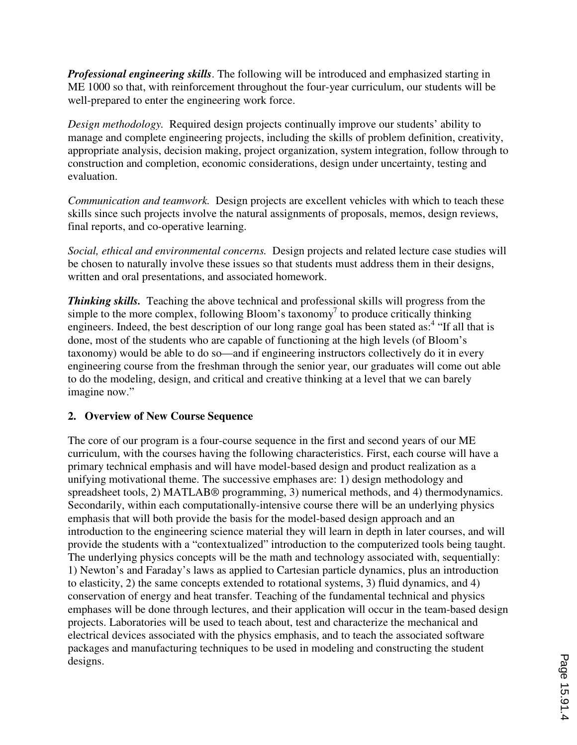*Professional engineering skills*. The following will be introduced and emphasized starting in ME 1000 so that, with reinforcement throughout the four-year curriculum, our students will be well-prepared to enter the engineering work force.

*Design methodology.* Required design projects continually improve our students' ability to manage and complete engineering projects, including the skills of problem definition, creativity, appropriate analysis, decision making, project organization, system integration, follow through to construction and completion, economic considerations, design under uncertainty, testing and evaluation.

*Communication and teamwork.* Design projects are excellent vehicles with which to teach these skills since such projects involve the natural assignments of proposals, memos, design reviews, final reports, and co-operative learning.

*Social, ethical and environmental concerns.* Design projects and related lecture case studies will be chosen to naturally involve these issues so that students must address them in their designs, written and oral presentations, and associated homework.

*Thinking skills.* Teaching the above technical and professional skills will progress from the simple to the more complex, following Bloom's taxonomy<sup>7</sup> to produce critically thinking engineers. Indeed, the best description of our long range goal has been stated as:<sup>4</sup> "If all that is done, most of the students who are capable of functioning at the high levels (of Bloom's taxonomy) would be able to do so—and if engineering instructors collectively do it in every engineering course from the freshman through the senior year, our graduates will come out able to do the modeling, design, and critical and creative thinking at a level that we can barely imagine now."

### **2. Overview of New Course Sequence**

The core of our program is a four-course sequence in the first and second years of our ME curriculum, with the courses having the following characteristics. First, each course will have a primary technical emphasis and will have model-based design and product realization as a unifying motivational theme. The successive emphases are: 1) design methodology and spreadsheet tools, 2) MATLAB® programming, 3) numerical methods, and 4) thermodynamics. Secondarily, within each computationally-intensive course there will be an underlying physics emphasis that will both provide the basis for the model-based design approach and an introduction to the engineering science material they will learn in depth in later courses, and will provide the students with a "contextualized" introduction to the computerized tools being taught. The underlying physics concepts will be the math and technology associated with, sequentially: 1) Newton's and Faraday's laws as applied to Cartesian particle dynamics, plus an introduction to elasticity, 2) the same concepts extended to rotational systems, 3) fluid dynamics, and 4) conservation of energy and heat transfer. Teaching of the fundamental technical and physics emphases will be done through lectures, and their application will occur in the team-based design projects. Laboratories will be used to teach about, test and characterize the mechanical and electrical devices associated with the physics emphasis, and to teach the associated software packages and manufacturing techniques to be used in modeling and constructing the student designs.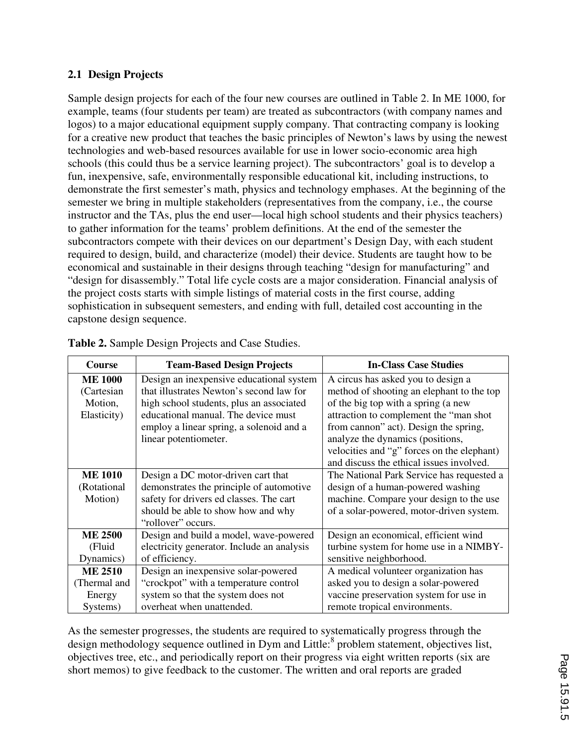# **2.1 Design Projects**

Sample design projects for each of the four new courses are outlined in Table 2. In ME 1000, for example, teams (four students per team) are treated as subcontractors (with company names and logos) to a major educational equipment supply company. That contracting company is looking for a creative new product that teaches the basic principles of Newton's laws by using the newest technologies and web-based resources available for use in lower socio-economic area high schools (this could thus be a service learning project). The subcontractors' goal is to develop a fun, inexpensive, safe, environmentally responsible educational kit, including instructions, to demonstrate the first semester's math, physics and technology emphases. At the beginning of the semester we bring in multiple stakeholders (representatives from the company, i.e., the course instructor and the TAs, plus the end user—local high school students and their physics teachers) to gather information for the teams' problem definitions. At the end of the semester the subcontractors compete with their devices on our department's Design Day, with each student required to design, build, and characterize (model) their device. Students are taught how to be economical and sustainable in their designs through teaching "design for manufacturing" and "design for disassembly." Total life cycle costs are a major consideration. Financial analysis of the project costs starts with simple listings of material costs in the first course, adding sophistication in subsequent semesters, and ending with full, detailed cost accounting in the capstone design sequence.

| <b>Course</b>  | <b>Team-Based Design Projects</b>          | <b>In-Class Case Studies</b>               |  |
|----------------|--------------------------------------------|--------------------------------------------|--|
| <b>ME 1000</b> | Design an inexpensive educational system   | A circus has asked you to design a         |  |
| (Cartesian     | that illustrates Newton's second law for   | method of shooting an elephant to the top  |  |
| Motion,        | high school students, plus an associated   | of the big top with a spring (a new        |  |
| Elasticity)    | educational manual. The device must        | attraction to complement the "man shot     |  |
|                | employ a linear spring, a solenoid and a   | from cannon" act). Design the spring,      |  |
|                | linear potentiometer.                      | analyze the dynamics (positions,           |  |
|                |                                            | velocities and "g" forces on the elephant) |  |
|                |                                            | and discuss the ethical issues involved.   |  |
| <b>ME 1010</b> | Design a DC motor-driven cart that         | The National Park Service has requested a  |  |
| (Rotational    | demonstrates the principle of automotive   | design of a human-powered washing          |  |
| Motion)        | safety for drivers ed classes. The cart    | machine. Compare your design to the use    |  |
|                | should be able to show how and why         | of a solar-powered, motor-driven system.   |  |
|                | "rollover" occurs.                         |                                            |  |
| <b>ME 2500</b> | Design and build a model, wave-powered     | Design an economical, efficient wind       |  |
| (Fluid         | electricity generator. Include an analysis | turbine system for home use in a NIMBY-    |  |
| Dynamics)      | of efficiency.                             | sensitive neighborhood.                    |  |
| <b>ME 2510</b> | Design an inexpensive solar-powered        | A medical volunteer organization has       |  |
| (Thermal and   | "crockpot" with a temperature control      | asked you to design a solar-powered        |  |
| Energy         | system so that the system does not         | vaccine preservation system for use in     |  |
| Systems)       | overheat when unattended.                  | remote tropical environments.              |  |

As the semester progresses, the students are required to systematically progress through the design methodology sequence outlined in Dym and Little:<sup>8</sup> problem statement, objectives list, objectives tree, etc., and periodically report on their progress via eight written reports (six are short memos) to give feedback to the customer. The written and oral reports are graded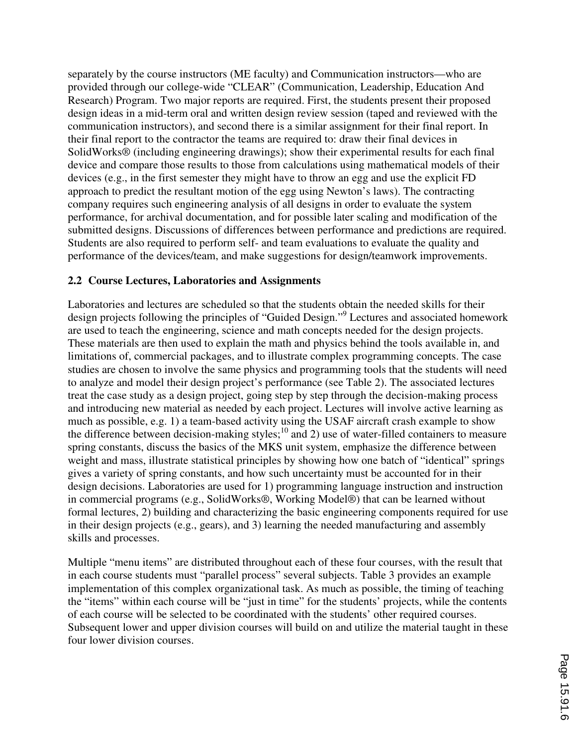separately by the course instructors (ME faculty) and Communication instructors—who are provided through our college-wide "CLEAR" (Communication, Leadership, Education And Research) Program. Two major reports are required. First, the students present their proposed design ideas in a mid-term oral and written design review session (taped and reviewed with the communication instructors), and second there is a similar assignment for their final report. In their final report to the contractor the teams are required to: draw their final devices in SolidWorks® (including engineering drawings); show their experimental results for each final device and compare those results to those from calculations using mathematical models of their devices (e.g., in the first semester they might have to throw an egg and use the explicit FD approach to predict the resultant motion of the egg using Newton's laws). The contracting company requires such engineering analysis of all designs in order to evaluate the system performance, for archival documentation, and for possible later scaling and modification of the submitted designs. Discussions of differences between performance and predictions are required. Students are also required to perform self- and team evaluations to evaluate the quality and performance of the devices/team, and make suggestions for design/teamwork improvements.

### **2.2 Course Lectures, Laboratories and Assignments**

Laboratories and lectures are scheduled so that the students obtain the needed skills for their design projects following the principles of "Guided Design."<sup>9</sup> Lectures and associated homework are used to teach the engineering, science and math concepts needed for the design projects. These materials are then used to explain the math and physics behind the tools available in, and limitations of, commercial packages, and to illustrate complex programming concepts. The case studies are chosen to involve the same physics and programming tools that the students will need to analyze and model their design project's performance (see Table 2). The associated lectures treat the case study as a design project, going step by step through the decision-making process and introducing new material as needed by each project. Lectures will involve active learning as much as possible, e.g. 1) a team-based activity using the USAF aircraft crash example to show the difference between decision-making styles; $^{10}$  and 2) use of water-filled containers to measure spring constants, discuss the basics of the MKS unit system, emphasize the difference between weight and mass, illustrate statistical principles by showing how one batch of "identical" springs gives a variety of spring constants, and how such uncertainty must be accounted for in their design decisions. Laboratories are used for 1) programming language instruction and instruction in commercial programs (e.g., SolidWorks®, Working Model®) that can be learned without formal lectures, 2) building and characterizing the basic engineering components required for use in their design projects (e.g., gears), and 3) learning the needed manufacturing and assembly skills and processes.

Multiple "menu items" are distributed throughout each of these four courses, with the result that in each course students must "parallel process" several subjects. Table 3 provides an example implementation of this complex organizational task. As much as possible, the timing of teaching the "items" within each course will be "just in time" for the students' projects, while the contents of each course will be selected to be coordinated with the students' other required courses. Subsequent lower and upper division courses will build on and utilize the material taught in these four lower division courses.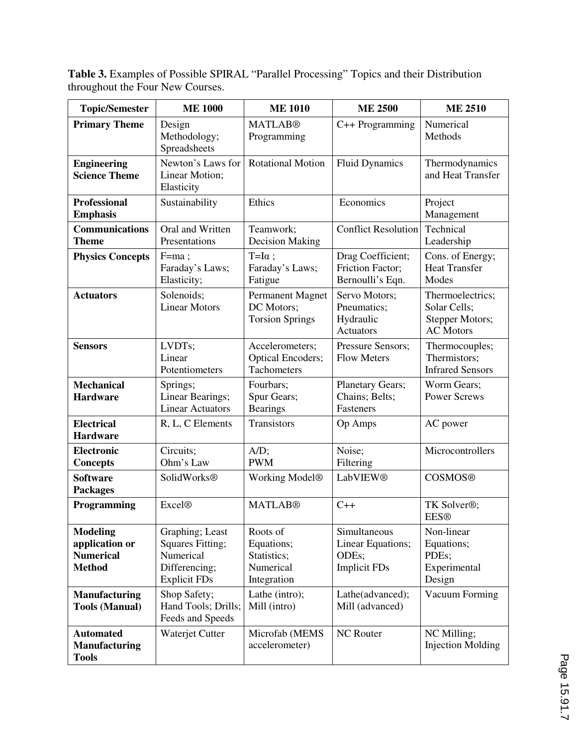**Table 3.** Examples of Possible SPIRAL "Parallel Processing" Topics and their Distribution throughout the Four New Courses.

| <b>Topic/Semester</b>                                                  | <b>ME 1000</b>                                                                                  | <b>ME 1010</b>                                                    | <b>ME 2500</b>                                                    | <b>ME 2510</b>                                                          |
|------------------------------------------------------------------------|-------------------------------------------------------------------------------------------------|-------------------------------------------------------------------|-------------------------------------------------------------------|-------------------------------------------------------------------------|
| <b>Primary Theme</b>                                                   | Design<br>Methodology;<br>Spreadsheets                                                          | <b>MATLAB®</b><br>Programming                                     | C++ Programming                                                   | Numerical<br>Methods                                                    |
| <b>Engineering</b><br><b>Science Theme</b>                             | Newton's Laws for<br>Linear Motion;<br>Elasticity                                               | <b>Rotational Motion</b>                                          | <b>Fluid Dynamics</b>                                             | Thermodynamics<br>and Heat Transfer                                     |
| <b>Professional</b><br><b>Emphasis</b>                                 | Sustainability                                                                                  | Ethics                                                            | Economics                                                         | Project<br>Management                                                   |
| <b>Communications</b><br><b>Theme</b>                                  | Oral and Written<br>Presentations                                                               | Teamwork;<br><b>Decision Making</b>                               | <b>Conflict Resolution</b>                                        | Technical<br>Leadership                                                 |
| <b>Physics Concepts</b>                                                | $F=ma;$<br>Faraday's Laws;<br>Elasticity;                                                       | $T=I\alpha$ ;<br>Faraday's Laws;<br>Fatigue                       | Drag Coefficient;<br>Friction Factor;<br>Bernoulli's Eqn.         | Cons. of Energy;<br><b>Heat Transfer</b><br>Modes                       |
| <b>Actuators</b>                                                       | Solenoids;<br><b>Linear Motors</b>                                                              | <b>Permanent Magnet</b><br>DC Motors;<br><b>Torsion Springs</b>   | Servo Motors;<br>Pneumatics;<br>Hydraulic<br><b>Actuators</b>     | Thermoelectrics;<br>Solar Cells;<br>Stepper Motors;<br><b>AC Motors</b> |
| <b>Sensors</b>                                                         | LVDTs;<br>Linear<br>Potentiometers                                                              | Accelerometers;<br><b>Optical Encoders;</b><br>Tachometers        | Pressure Sensors;<br><b>Flow Meters</b>                           | Thermocouples;<br>Thermistors;<br><b>Infrared Sensors</b>               |
| <b>Mechanical</b><br><b>Hardware</b>                                   | Springs;<br>Linear Bearings;<br><b>Linear Actuators</b>                                         | Fourbars;<br>Spur Gears;<br><b>Bearings</b>                       | Planetary Gears;<br>Chains; Belts;<br>Fasteners                   | Worm Gears;<br><b>Power Screws</b>                                      |
| <b>Electrical</b><br><b>Hardware</b>                                   | R, L, C Elements                                                                                | Transistors                                                       | Op Amps                                                           | AC power                                                                |
| Electronic<br><b>Concepts</b>                                          | Circuits;<br>Ohm's Law                                                                          | $A/D$ ;<br><b>PWM</b>                                             | Noise;<br>Filtering                                               | Microcontrollers                                                        |
| <b>Software</b><br><b>Packages</b>                                     | SolidWorks®                                                                                     | Working Model <sup>®</sup>                                        | LabVIEW®                                                          | <b>COSMOS®</b>                                                          |
| Programming                                                            | <b>Excel®</b>                                                                                   | <b>MATLAB®</b>                                                    | $C++$                                                             | TK Solver®;<br><b>EES®</b>                                              |
| <b>Modeling</b><br>application or<br><b>Numerical</b><br><b>Method</b> | Graphing; Least<br><b>Squares Fitting;</b><br>Numerical<br>Differencing;<br><b>Explicit FDs</b> | Roots of<br>Equations;<br>Statistics;<br>Numerical<br>Integration | Simultaneous<br>Linear Equations;<br>ODEs;<br><b>Implicit FDs</b> | Non-linear<br>Equations;<br>PDEs;<br>Experimental<br>Design             |
| <b>Manufacturing</b><br><b>Tools (Manual)</b>                          | Shop Safety;<br>Hand Tools; Drills;<br>Feeds and Speeds                                         | Lathe (intro);<br>Mill (intro)                                    | Lathe(advanced);<br>Mill (advanced)                               | Vacuum Forming                                                          |
| <b>Automated</b><br><b>Manufacturing</b><br><b>Tools</b>               | Waterjet Cutter                                                                                 | Microfab (MEMS<br>accelerometer)                                  | <b>NC</b> Router                                                  | NC Milling;<br><b>Injection Molding</b>                                 |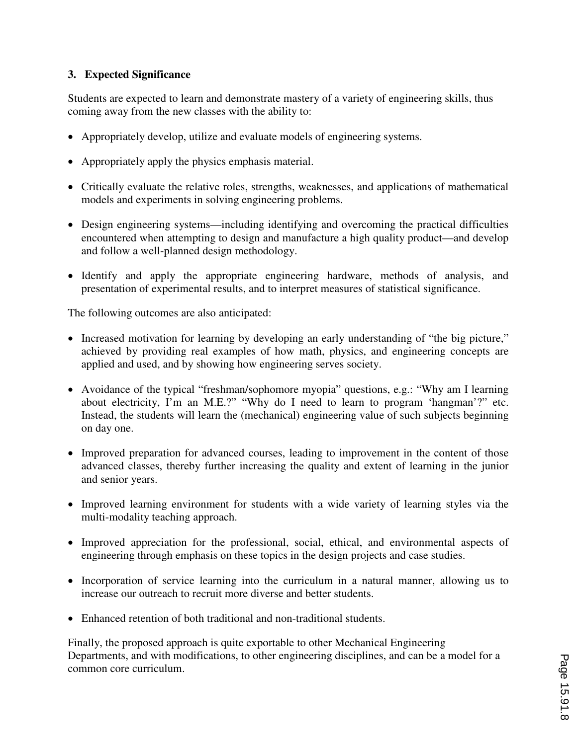# **3. Expected Significance**

Students are expected to learn and demonstrate mastery of a variety of engineering skills, thus coming away from the new classes with the ability to:

- Appropriately develop, utilize and evaluate models of engineering systems.
- Appropriately apply the physics emphasis material.
- Critically evaluate the relative roles, strengths, weaknesses, and applications of mathematical models and experiments in solving engineering problems.
- Design engineering systems—including identifying and overcoming the practical difficulties encountered when attempting to design and manufacture a high quality product—and develop and follow a well-planned design methodology.
- Identify and apply the appropriate engineering hardware, methods of analysis, and presentation of experimental results, and to interpret measures of statistical significance.

The following outcomes are also anticipated:

- Increased motivation for learning by developing an early understanding of "the big picture," achieved by providing real examples of how math, physics, and engineering concepts are applied and used, and by showing how engineering serves society.
- ≠ Avoidance of the typical "freshman/sophomore myopia" questions, e.g.: "Why am I learning about electricity, I'm an M.E.?" "Why do I need to learn to program 'hangman'?" etc. Instead, the students will learn the (mechanical) engineering value of such subjects beginning on day one.
- Improved preparation for advanced courses, leading to improvement in the content of those advanced classes, thereby further increasing the quality and extent of learning in the junior and senior years.
- Improved learning environment for students with a wide variety of learning styles via the multi-modality teaching approach.
- Improved appreciation for the professional, social, ethical, and environmental aspects of engineering through emphasis on these topics in the design projects and case studies.
- Incorporation of service learning into the curriculum in a natural manner, allowing us to increase our outreach to recruit more diverse and better students.
- Enhanced retention of both traditional and non-traditional students.

Finally, the proposed approach is quite exportable to other Mechanical Engineering Departments, and with modifications, to other engineering disciplines, and can be a model for a common core curriculum.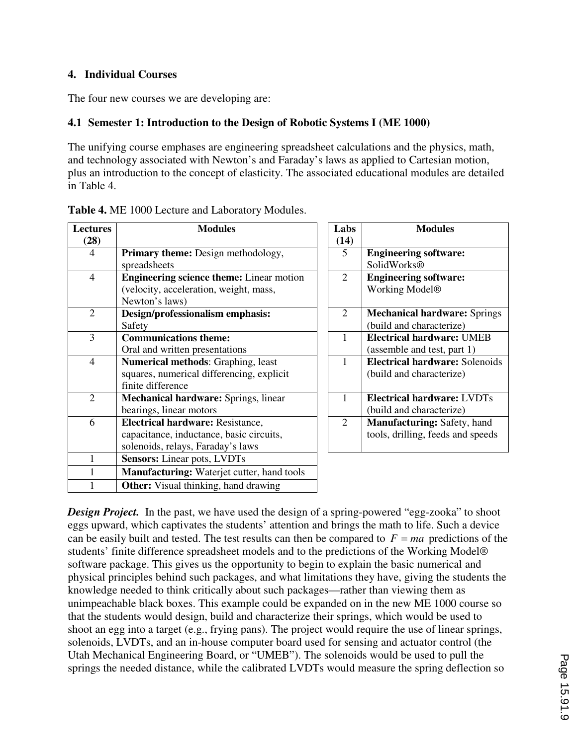### **4. Individual Courses**

The four new courses we are developing are:

### **4.1 Semester 1: Introduction to the Design of Robotic Systems I (ME 1000)**

The unifying course emphases are engineering spreadsheet calculations and the physics, math, and technology associated with Newton's and Faraday's laws as applied to Cartesian motion, plus an introduction to the concept of elasticity. The associated educational modules are detailed in Table 4.

| <b>Lectures</b> | <b>Modules</b>                                    | Labs           | <b>Modules</b>                        |
|-----------------|---------------------------------------------------|----------------|---------------------------------------|
| (28)            |                                                   | (14)           |                                       |
| 4               | <b>Primary theme:</b> Design methodology,         | 5              | <b>Engineering software:</b>          |
|                 | spreadsheets                                      |                | SolidWorks®                           |
| $\overline{4}$  | <b>Engineering science theme:</b> Linear motion   | $\overline{2}$ | <b>Engineering software:</b>          |
|                 | (velocity, acceleration, weight, mass,            |                | Working Model <sup>®</sup>            |
|                 | Newton's laws)                                    |                |                                       |
| $\overline{2}$  | Design/professionalism emphasis:                  | $\overline{2}$ | <b>Mechanical hardware: Springs</b>   |
|                 | Safety                                            |                | (build and characterize)              |
| 3               | <b>Communications theme:</b>                      | 1              | <b>Electrical hardware: UMEB</b>      |
|                 | Oral and written presentations                    |                | (assemble and test, part 1)           |
| $\overline{4}$  | Numerical methods: Graphing, least                | 1              | <b>Electrical hardware: Solenoids</b> |
|                 | squares, numerical differencing, explicit         |                | (build and characterize)              |
|                 | finite difference                                 |                |                                       |
| $\overline{2}$  | Mechanical hardware: Springs, linear              | 1              | <b>Electrical hardware: LVDTs</b>     |
|                 | bearings, linear motors                           |                | (build and characterize)              |
| 6               | <b>Electrical hardware: Resistance,</b>           | $\overline{2}$ | <b>Manufacturing: Safety, hand</b>    |
|                 | capacitance, inductance, basic circuits,          |                | tools, drilling, feeds and speeds     |
|                 | solenoids, relays, Faraday's laws                 |                |                                       |
|                 | <b>Sensors:</b> Linear pots, LVDTs                |                |                                       |
|                 | <b>Manufacturing:</b> Waterjet cutter, hand tools |                |                                       |
|                 | <b>Other:</b> Visual thinking, hand drawing       |                |                                       |

**Table 4.** ME 1000 Lecture and Laboratory Modules.

**Design Project.** In the past, we have used the design of a spring-powered "egg-zooka" to shoot eggs upward, which captivates the students' attention and brings the math to life. Such a device can be easily built and tested. The test results can then be compared to  $F = ma$  predictions of the students' finite difference spreadsheet models and to the predictions of the Working Model® software package. This gives us the opportunity to begin to explain the basic numerical and physical principles behind such packages, and what limitations they have, giving the students the knowledge needed to think critically about such packages—rather than viewing them as unimpeachable black boxes. This example could be expanded on in the new ME 1000 course so that the students would design, build and characterize their springs, which would be used to shoot an egg into a target (e.g., frying pans). The project would require the use of linear springs, solenoids, LVDTs, and an in-house computer board used for sensing and actuator control (the Utah Mechanical Engineering Board, or "UMEB"). The solenoids would be used to pull the springs the needed distance, while the calibrated LVDTs would measure the spring deflection so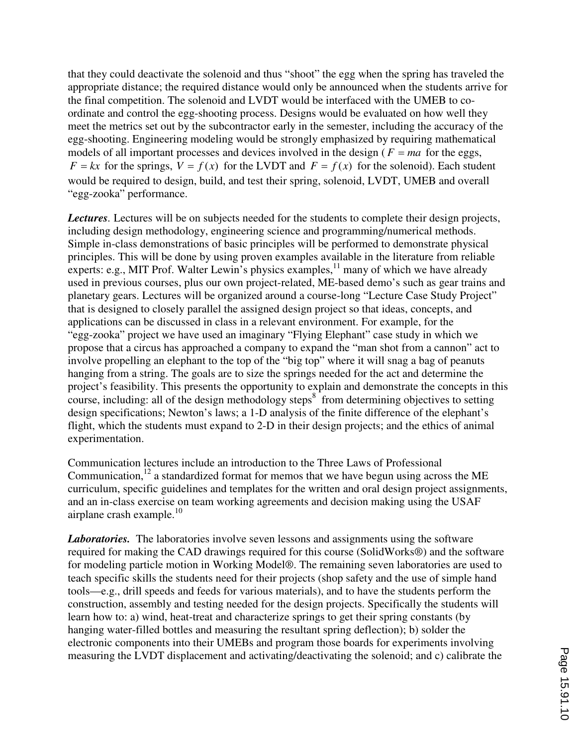that they could deactivate the solenoid and thus "shoot" the egg when the spring has traveled the appropriate distance; the required distance would only be announced when the students arrive for the final competition. The solenoid and LVDT would be interfaced with the UMEB to coordinate and control the egg-shooting process. Designs would be evaluated on how well they meet the metrics set out by the subcontractor early in the semester, including the accuracy of the egg-shooting. Engineering modeling would be strongly emphasized by requiring mathematical models of all important processes and devices involved in the design ( $F = ma$  for the eggs,  $F = kx$  for the springs,  $V = f(x)$  for the LVDT and  $F = f(x)$  for the solenoid). Each student would be required to design, build, and test their spring, solenoid, LVDT, UMEB and overall "egg-zooka" performance.

*Lectures.* Lectures will be on subjects needed for the students to complete their design projects, including design methodology, engineering science and programming/numerical methods. Simple in-class demonstrations of basic principles will be performed to demonstrate physical principles. This will be done by using proven examples available in the literature from reliable experts: e.g., MIT Prof. Walter Lewin's physics examples,  $\frac{1}{1}$  many of which we have already used in previous courses, plus our own project-related, ME-based demo's such as gear trains and planetary gears. Lectures will be organized around a course-long "Lecture Case Study Project" that is designed to closely parallel the assigned design project so that ideas, concepts, and applications can be discussed in class in a relevant environment. For example, for the "egg-zooka" project we have used an imaginary "Flying Elephant" case study in which we propose that a circus has approached a company to expand the "man shot from a cannon" act to involve propelling an elephant to the top of the "big top" where it will snag a bag of peanuts hanging from a string. The goals are to size the springs needed for the act and determine the project's feasibility. This presents the opportunity to explain and demonstrate the concepts in this course, including: all of the design methodology steps $8^{\circ}$  from determining objectives to setting design specifications; Newton's laws; a 1-D analysis of the finite difference of the elephant's flight, which the students must expand to 2-D in their design projects; and the ethics of animal experimentation.

Communication lectures include an introduction to the Three Laws of Professional Communication, $12$  a standardized format for memos that we have begun using across the ME curriculum, specific guidelines and templates for the written and oral design project assignments, and an in-class exercise on team working agreements and decision making using the USAF airplane crash example. $10$ 

*Laboratories.* The laboratories involve seven lessons and assignments using the software required for making the CAD drawings required for this course (SolidWorks®) and the software for modeling particle motion in Working Model®. The remaining seven laboratories are used to teach specific skills the students need for their projects (shop safety and the use of simple hand tools—e.g., drill speeds and feeds for various materials), and to have the students perform the construction, assembly and testing needed for the design projects. Specifically the students will learn how to: a) wind, heat-treat and characterize springs to get their spring constants (by hanging water-filled bottles and measuring the resultant spring deflection); b) solder the electronic components into their UMEBs and program those boards for experiments involving measuring the LVDT displacement and activating/deactivating the solenoid; and c) calibrate the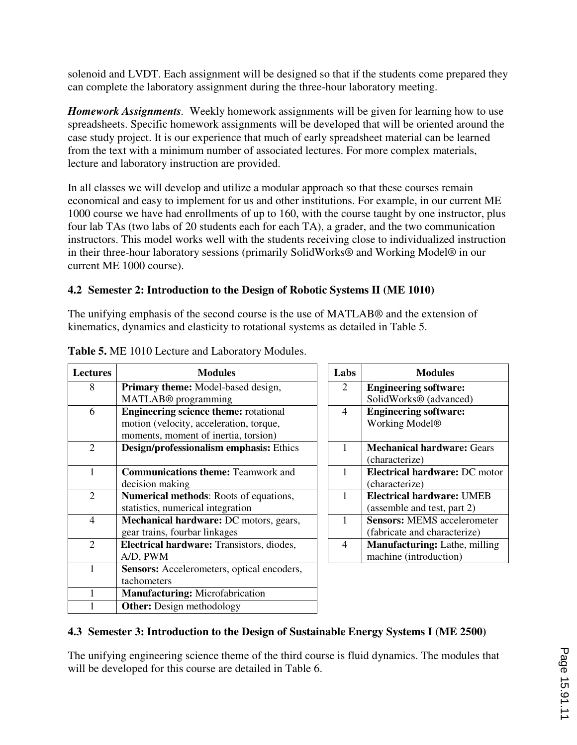solenoid and LVDT. Each assignment will be designed so that if the students come prepared they can complete the laboratory assignment during the three-hour laboratory meeting.

*Homework Assignments.* Weekly homework assignments will be given for learning how to use spreadsheets. Specific homework assignments will be developed that will be oriented around the case study project. It is our experience that much of early spreadsheet material can be learned from the text with a minimum number of associated lectures. For more complex materials, lecture and laboratory instruction are provided.

In all classes we will develop and utilize a modular approach so that these courses remain economical and easy to implement for us and other institutions. For example, in our current ME 1000 course we have had enrollments of up to 160, with the course taught by one instructor, plus four lab TAs (two labs of 20 students each for each TA), a grader, and the two communication instructors. This model works well with the students receiving close to individualized instruction in their three-hour laboratory sessions (primarily SolidWorks® and Working Model® in our current ME 1000 course).

# **4.2 Semester 2: Introduction to the Design of Robotic Systems II (ME 1010)**

The unifying emphasis of the second course is the use of MATLAB® and the extension of kinematics, dynamics and elasticity to rotational systems as detailed in Table 5.

| <b>Lectures</b>             | <b>Modules</b>                               | Labs           | <b>Modules</b>                       |
|-----------------------------|----------------------------------------------|----------------|--------------------------------------|
| 8                           | Primary theme: Model-based design,           | 2              | <b>Engineering software:</b>         |
|                             | MATLAB <sup>®</sup> programming              |                | SolidWorks <sup>®</sup> (advanced)   |
| 6                           | <b>Engineering science theme:</b> rotational | $\overline{4}$ | <b>Engineering software:</b>         |
|                             | motion (velocity, acceleration, torque,      |                | Working Model <sup>®</sup>           |
|                             | moments, moment of inertia, torsion)         |                |                                      |
| $\mathcal{D}_{\mathcal{L}}$ | Design/professionalism emphasis: Ethics      |                | <b>Mechanical hardware: Gears</b>    |
|                             |                                              |                | (characterize)                       |
| 1                           | <b>Communications theme: Teamwork and</b>    |                | <b>Electrical hardware: DC motor</b> |
|                             | decision making                              |                | (characterize)                       |
| 2                           | Numerical methods: Roots of equations,       |                | <b>Electrical hardware: UMEB</b>     |
|                             | statistics, numerical integration            |                | (assemble and test, part 2)          |
| $\overline{4}$              | Mechanical hardware: DC motors, gears,       |                | <b>Sensors: MEMS</b> accelerometer   |
|                             | gear trains, fourbar linkages                |                | (fabricate and characterize)         |
| $\overline{2}$              | Electrical hardware: Transistors, diodes,    | $\overline{4}$ | <b>Manufacturing:</b> Lathe, milling |
|                             | A/D, PWM                                     |                | machine (introduction)               |
|                             | Sensors: Accelerometers, optical encoders,   |                |                                      |
|                             | tachometers                                  |                |                                      |
|                             | <b>Manufacturing:</b> Microfabrication       |                |                                      |
|                             | <b>Other:</b> Design methodology             |                |                                      |

### **Table 5.** ME 1010 Lecture and Laboratory Modules.

# **4.3 Semester 3: Introduction to the Design of Sustainable Energy Systems I (ME 2500)**

The unifying engineering science theme of the third course is fluid dynamics. The modules that will be developed for this course are detailed in Table 6.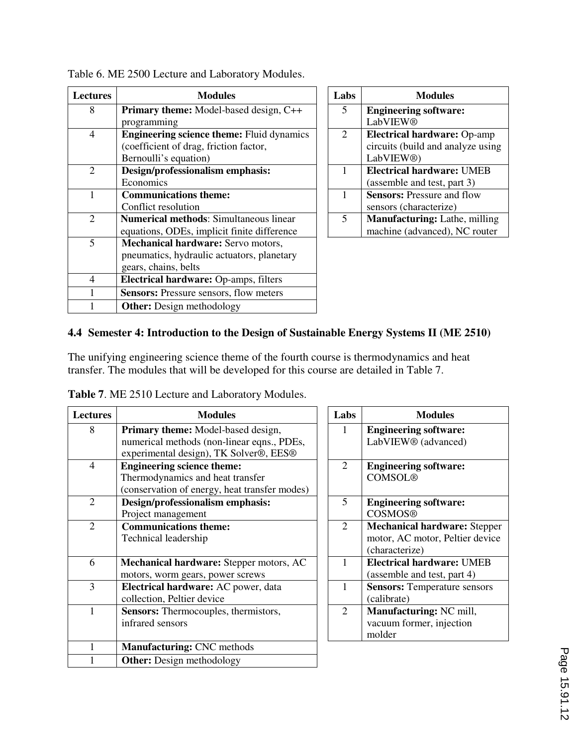| <b>Lectures</b> | <b>Modules</b>                                   | Labs | <b>Modules</b>               |
|-----------------|--------------------------------------------------|------|------------------------------|
| 8               | <b>Primary theme:</b> Model-based design, C++    | 5    | <b>Engineering softwar</b>   |
|                 | programming                                      |      | LabVIEW®                     |
| $\overline{4}$  | <b>Engineering science theme:</b> Fluid dynamics | 2    | <b>Electrical hardware:</b>  |
|                 | (coefficient of drag, friction factor,           |      | circuits (build and ana      |
|                 | Bernoulli's equation)                            |      | LabVIEW <sup>®</sup> )       |
| 2               | Design/professionalism emphasis:                 | 1    | <b>Electrical hardware:</b>  |
|                 | Economics                                        |      | (assemble and test, pa       |
|                 | <b>Communications theme:</b>                     | 1    | <b>Sensors: Pressure and</b> |
|                 | Conflict resolution                              |      | sensors (characterize)       |
| $\overline{2}$  | <b>Numerical methods:</b> Simultaneous linear    | 5    | <b>Manufacturing: Lath</b>   |
|                 | equations, ODEs, implicit finite difference      |      | machine (advanced),          |
| 5               | Mechanical hardware: Servo motors,               |      |                              |
|                 | pneumatics, hydraulic actuators, planetary       |      |                              |
|                 | gears, chains, belts                             |      |                              |
| $\overline{4}$  | Electrical hardware: Op-amps, filters            |      |                              |
|                 | <b>Sensors:</b> Pressure sensors, flow meters    |      |                              |
|                 | <b>Other:</b> Design methodology                 |      |                              |

| Labs                     | <b>Modules</b>                       |
|--------------------------|--------------------------------------|
| $\overline{\mathcal{L}}$ | <b>Engineering software:</b>         |
|                          | <b>LabVIEW®</b>                      |
| $\overline{2}$           | <b>Electrical hardware: Op-amp</b>   |
|                          | circuits (build and analyze using    |
|                          | LabVIEW <sup>®</sup> )               |
|                          | <b>Electrical hardware: UMEB</b>     |
|                          | (assemble and test, part 3)          |
|                          | <b>Sensors:</b> Pressure and flow    |
|                          | sensors (characterize)               |
| 5                        | <b>Manufacturing:</b> Lathe, milling |
|                          | machine (advanced), NC router        |

| Table 6. ME 2500 Lecture and Laboratory Modules. |
|--------------------------------------------------|
|--------------------------------------------------|

# **4.4 Semester 4: Introduction to the Design of Sustainable Energy Systems II (ME 2510)**

The unifying engineering science theme of the fourth course is thermodynamics and heat transfer. The modules that will be developed for this course are detailed in Table 7.

| <b>Lectures</b> | <b>Modules</b>                                                                                                                                      | Labs           | <b>Modules</b>                                                                           |
|-----------------|-----------------------------------------------------------------------------------------------------------------------------------------------------|----------------|------------------------------------------------------------------------------------------|
| 8               | Primary theme: Model-based design,<br>numerical methods (non-linear eqns., PDEs,<br>experimental design), TK Solver <sup>®</sup> , EES <sup>®</sup> | 1              | <b>Engineering software:</b><br>LabVIEW <sup>®</sup> (advanced)                          |
| $\overline{4}$  | <b>Engineering science theme:</b><br>Thermodynamics and heat transfer<br>(conservation of energy, heat transfer modes)                              | $\overline{2}$ | <b>Engineering software:</b><br><b>COMSOL®</b>                                           |
| 2               | Design/professionalism emphasis:<br>Project management                                                                                              | 5              | <b>Engineering software:</b><br><b>COSMOS®</b>                                           |
| $\overline{2}$  | <b>Communications theme:</b><br>Technical leadership                                                                                                | $\overline{2}$ | <b>Mechanical hardware: Stepper</b><br>motor, AC motor, Peltier device<br>(characterize) |
| 6               | Mechanical hardware: Stepper motors, AC<br>motors, worm gears, power screws                                                                         | 1              | <b>Electrical hardware: UMEB</b><br>(assemble and test, part 4)                          |
| 3               | Electrical hardware: AC power, data<br>collection, Peltier device                                                                                   | 1              | <b>Sensors: Temperature sensors</b><br>(calibrate)                                       |
| 1               | <b>Sensors:</b> Thermocouples, thermistors,<br>infrared sensors                                                                                     | $\overline{2}$ | Manufacturing: NC mill,<br>vacuum former, injection<br>molder                            |
|                 | <b>Manufacturing: CNC methods</b>                                                                                                                   |                |                                                                                          |
|                 | <b>Other:</b> Design methodology                                                                                                                    |                |                                                                                          |

**Table 7**. ME 2510 Lecture and Laboratory Modules.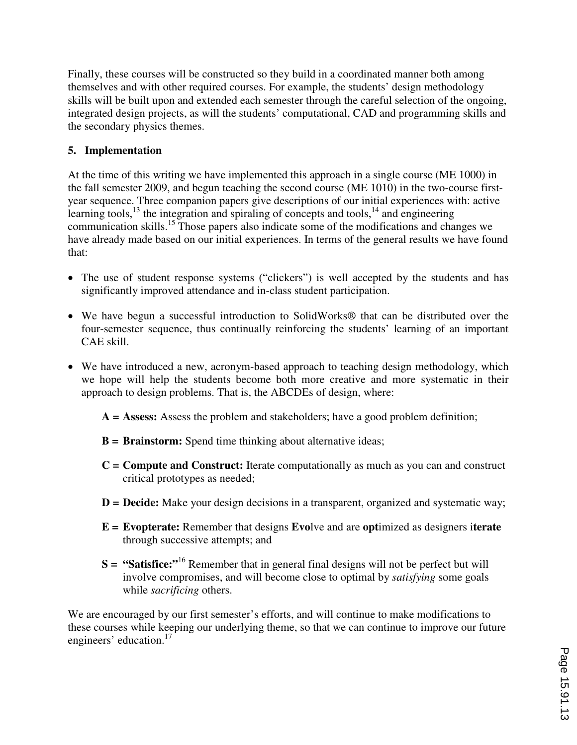Finally, these courses will be constructed so they build in a coordinated manner both among themselves and with other required courses. For example, the students' design methodology skills will be built upon and extended each semester through the careful selection of the ongoing, integrated design projects, as will the students' computational, CAD and programming skills and the secondary physics themes.

# **5. Implementation**

At the time of this writing we have implemented this approach in a single course (ME 1000) in the fall semester 2009, and begun teaching the second course (ME 1010) in the two-course firstyear sequence. Three companion papers give descriptions of our initial experiences with: active learning tools, $^{13}$  the integration and spiraling of concepts and tools, $^{14}$  and engineering communication skills.<sup>15</sup> Those papers also indicate some of the modifications and changes we have already made based on our initial experiences. In terms of the general results we have found that:

- The use of student response systems ("clickers") is well accepted by the students and has significantly improved attendance and in-class student participation.
- ≠ We have begun a successful introduction to SolidWorks® that can be distributed over the four-semester sequence, thus continually reinforcing the students' learning of an important CAE skill.
- We have introduced a new, acronym-based approach to teaching design methodology, which we hope will help the students become both more creative and more systematic in their approach to design problems. That is, the ABCDEs of design, where:
	- **A = Assess:** Assess the problem and stakeholders; have a good problem definition;
	- **B = Brainstorm:** Spend time thinking about alternative ideas;
	- **C = Compute and Construct:** Iterate computationally as much as you can and construct critical prototypes as needed;
	- **D** = **Decide:** Make your design decisions in a transparent, organized and systematic way;
	- **E = Evopterate:** Remember that designs **Evo**lve and are **opt**imized as designers i**terate** through successive attempts; and
	- **S = "Satisfice:"**<sup>16</sup> Remember that in general final designs will not be perfect but will involve compromises, and will become close to optimal by *satisfying* some goals while *sacrificing* others.

We are encouraged by our first semester's efforts, and will continue to make modifications to these courses while keeping our underlying theme, so that we can continue to improve our future engineers' education.<sup>17</sup>